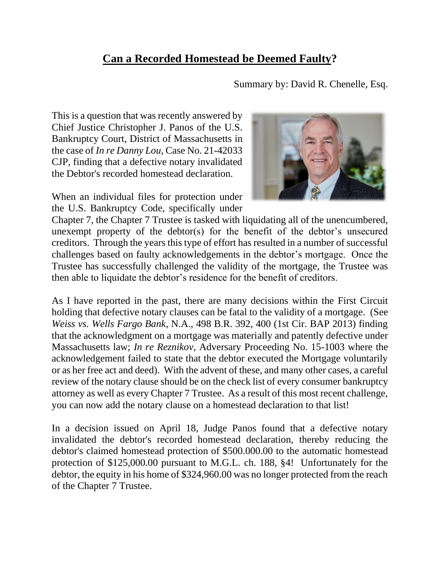## **Can a Recorded Homestead be Deemed Faulty?**

Summary by: David R. Chenelle, Esq.

This is a question that was recently answered by Chief Justice Christopher J. Panos of the U.S. Bankruptcy Court, District of Massachusetts in the case of *In re Danny Lou*, Case No. 21-42033 CJP, finding that a defective notary invalidated the Debtor's recorded homestead declaration.

When an individual files for protection under the U.S. Bankruptcy Code, specifically under



Chapter 7, the Chapter 7 Trustee is tasked with liquidating all of the unencumbered, unexempt property of the debtor(s) for the benefit of the debtor's unsecured creditors. Through the years this type of effort has resulted in a number of successful challenges based on faulty acknowledgements in the debtor's mortgage. Once the Trustee has successfully challenged the validity of the mortgage, the Trustee was then able to liquidate the debtor's residence for the benefit of creditors.

As I have reported in the past, there are many decisions within the First Circuit holding that defective notary clauses can be fatal to the validity of a mortgage. (See *Weiss vs. Wells Fargo Bank*, N.A., 498 B.R. 392, 400 (1st Cir. BAP 2013) finding that the acknowledgment on a mortgage was materially and patently defective under Massachusetts law; *In re Reznikov*, Adversary Proceeding No. 15-1003 where the acknowledgement failed to state that the debtor executed the Mortgage voluntarily or as her free act and deed). With the advent of these, and many other cases, a careful review of the notary clause should be on the check list of every consumer bankruptcy attorney as well as every Chapter 7 Trustee. As a result of this most recent challenge, you can now add the notary clause on a homestead declaration to that list!

In a decision issued on April 18, Judge Panos found that a defective notary invalidated the debtor's recorded homestead declaration, thereby reducing the debtor's claimed homestead protection of \$500.000.00 to the automatic homestead protection of \$125,000.00 pursuant to M.G.L. ch. 188, §4! Unfortunately for the debtor, the equity in his home of \$324,960.00 was no longer protected from the reach of the Chapter 7 Trustee.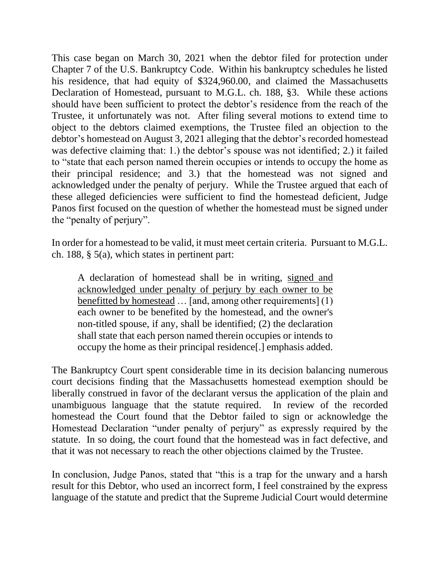This case began on March 30, 2021 when the debtor filed for protection under Chapter 7 of the U.S. Bankruptcy Code. Within his bankruptcy schedules he listed his residence, that had equity of \$324,960.00, and claimed the Massachusetts Declaration of Homestead, pursuant to M.G.L. ch. 188, §3. While these actions should have been sufficient to protect the debtor's residence from the reach of the Trustee, it unfortunately was not. After filing several motions to extend time to object to the debtors claimed exemptions, the Trustee filed an objection to the debtor's homestead on August 3, 2021 alleging that the debtor's recorded homestead was defective claiming that: 1.) the debtor's spouse was not identified; 2.) it failed to "state that each person named therein occupies or intends to occupy the home as their principal residence; and 3.) that the homestead was not signed and acknowledged under the penalty of perjury. While the Trustee argued that each of these alleged deficiencies were sufficient to find the homestead deficient, Judge Panos first focused on the question of whether the homestead must be signed under the "penalty of perjury".

In order for a homestead to be valid, it must meet certain criteria. Pursuant to M.G.L. ch. 188, § 5(a), which states in pertinent part:

A declaration of homestead shall be in writing, signed and acknowledged under penalty of perjury by each owner to be benefitted by homestead … [and, among other requirements] (1) each owner to be benefited by the homestead, and the owner's non-titled spouse, if any, shall be identified; (2) the declaration shall state that each person named therein occupies or intends to occupy the home as their principal residence[.] emphasis added.

The Bankruptcy Court spent considerable time in its decision balancing numerous court decisions finding that the Massachusetts homestead exemption should be liberally construed in favor of the declarant versus the application of the plain and unambiguous language that the statute required. In review of the recorded homestead the Court found that the Debtor failed to sign or acknowledge the Homestead Declaration "under penalty of perjury" as expressly required by the statute. In so doing, the court found that the homestead was in fact defective, and that it was not necessary to reach the other objections claimed by the Trustee.

In conclusion, Judge Panos, stated that "this is a trap for the unwary and a harsh result for this Debtor, who used an incorrect form, I feel constrained by the express language of the statute and predict that the Supreme Judicial Court would determine